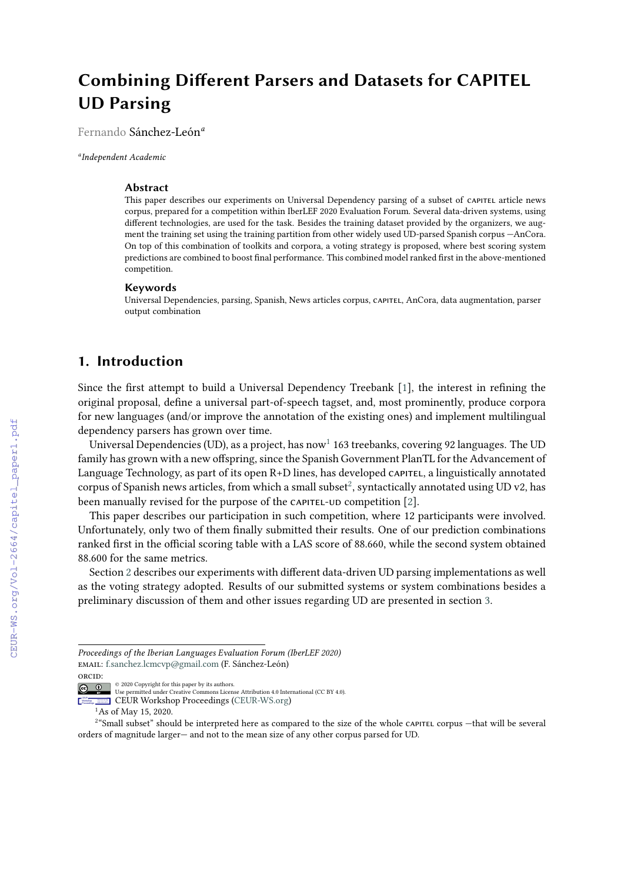# **Combining Different Parsers and Datasets for CAPITEL UD Parsing**

Fernando Sánchez-León*<sup>a</sup>*

*a Independent Academic*

#### **Abstract**

This paper describes our experiments on Universal Dependency parsing of a subset of CAPITEL article news corpus, prepared for a competition within IberLEF 2020 Evaluation Forum. Several data-driven systems, using different technologies, are used for the task. Besides the training dataset provided by the organizers, we augment the training set using the training partition from other widely used UD-parsed Spanish corpus —AnCora. On top of this combination of toolkits and corpora, a voting strategy is proposed, where best scoring system predictions are combined to boost final performance. This combined model ranked first in the above-mentioned competition.

#### **Keywords**

Universal Dependencies, parsing, Spanish, News articles corpus, capitel, AnCora, data augmentation, parser output combination

# **1. Introduction**

Since the first attempt to build a Universal Dependency Treebank [\[1\]](#page--1-0), the interest in refining the original proposal, define a universal part-of-speech tagset, and, most prominently, produce corpora for new languages (and/or improve the annotation of the existing ones) and implement multilingual dependency parsers has grown over time.

Universal Dependencies (UD), as a project, has now $^1$  $^1$  163 treebanks, covering 92 languages. The UD family has grown with a new offspring, since the Spanish Government PlanTL for the Advancement of Language Technology, as part of its open R+D lines, has developed capitel, a linguistically annotated corpus of Spanish news articles, from which a small subset $^2$  $^2$ , syntactically annotated using UD v2, has been manually revised for the purpose of the CAPITEL-UD competition [\[2\]](#page--1-1).

This paper describes our participation in such competition, where 12 participants were involved. Unfortunately, only two of them finally submitted their results. One of our prediction combinations ranked first in the official scoring table with a LAS score of 88.660, while the second system obtained 88.600 for the same metrics.

Section [2](#page--1-2) describes our experiments with different data-driven UD parsing implementations as well as the voting strategy adopted. Results of our submitted systems or system combinations besides a preliminary discussion of them and other issues regarding UD are presented in section [3.](#page--1-3)

*Proceedings of the Iberian Languages Evaluation Forum (IberLEF 2020)* email: [f.sanchez.lcmcvp@gmail.com](mailto:f.sanchez.lcmcvp@gmail.com) (F. Sánchez-León) orcid:

<sup>©</sup> 2020 Copyright for this paper by its authors.  $\bullet$ 

 $\left( 6\right)$ Use permitted under Creative Commons License Attribution 4.0 International (CC BY 4.0).

CEUR **CEUR** Workshop **Contract** [Proceedings](http://ceur-ws.org) **accommon EEUR Workshop Proceedings [\(CEUR-WS.org\)](http://ceur-ws.org)** 

<span id="page-0-1"></span><span id="page-0-0"></span><sup>&</sup>lt;sup>1</sup>As of May 15, 2020.

<sup>2</sup> "Small subset" should be interpreted here as compared to the size of the whole capitel corpus —that will be several orders of magnitude larger— and not to the mean size of any other corpus parsed for UD.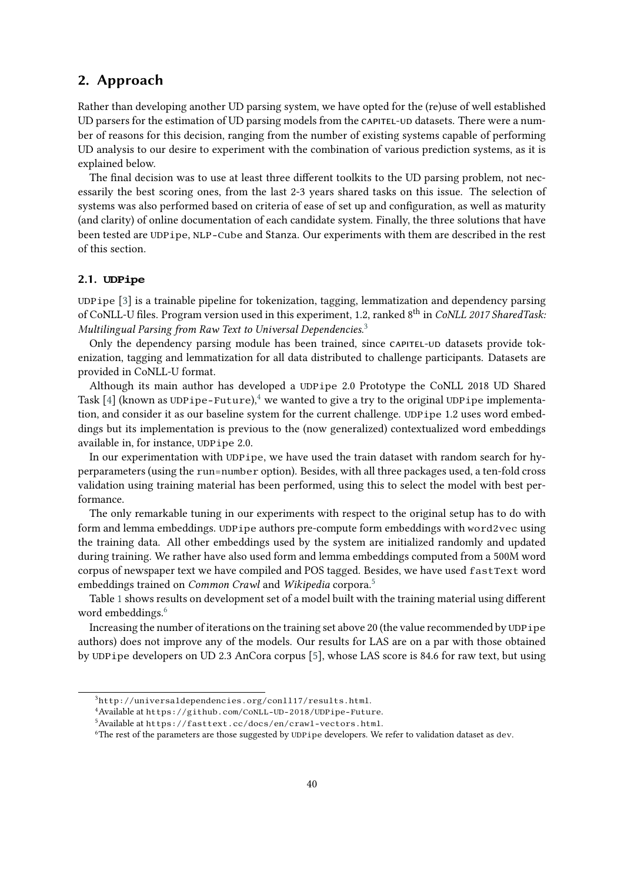# **2. Approach**

Rather than developing another UD parsing system, we have opted for the (re)use of well established UD parsers for the estimation of UD parsing models from the CAPITEL-UD datasets. There were a number of reasons for this decision, ranging from the number of existing systems capable of performing UD analysis to our desire to experiment with the combination of various prediction systems, as it is explained below.

The final decision was to use at least three different toolkits to the UD parsing problem, not necessarily the best scoring ones, from the last 2-3 years shared tasks on this issue. The selection of systems was also performed based on criteria of ease of set up and configuration, as well as maturity (and clarity) of online documentation of each candidate system. Finally, the three solutions that have been tested are UDPipe, NLP-Cube and Stanza. Our experiments with them are described in the rest of this section.

#### **2.1. UDPipe**

UDPipe [\[3\]](#page-6-0) is a trainable pipeline for tokenization, tagging, lemmatization and dependency parsing of CoNLL-U files. Program version used in this experiment, 1.2, ranked 8<sup>th</sup> in *CoNLL 2017 SharedTask: Multilingual Parsing from Raw Text to Universal Dependencies*. [3](#page-1-0)

Only the dependency parsing module has been trained, since capitel-ud datasets provide tokenization, tagging and lemmatization for all data distributed to challenge participants. Datasets are provided in CoNLL-U format.

Although its main author has developed a UDPipe 2.0 Prototype the CoNLL 2018 UD Shared Task [\[4\]](#page-6-1) (known as UDPipe-Future),<sup>[4](#page-1-1)</sup> we wanted to give a try to the original UDPipe implementation, and consider it as our baseline system for the current challenge. UDPipe 1.2 uses word embeddings but its implementation is previous to the (now generalized) contextualized word embeddings available in, for instance, UDPipe 2.0.

In our experimentation with UDPipe, we have used the train dataset with random search for hyperparameters (using the run=number option). Besides, with all three packages used, a ten-fold cross validation using training material has been performed, using this to select the model with best performance.

The only remarkable tuning in our experiments with respect to the original setup has to do with form and lemma embeddings. UDPipe authors pre-compute form embeddings with word2vec using the training data. All other embeddings used by the system are initialized randomly and updated during training. We rather have also used form and lemma embeddings computed from a 500M word corpus of newspaper text we have compiled and POS tagged. Besides, we have used fastText word embeddings trained on *Common Crawl* and *Wikipedia* corpora.[5](#page-1-2)

Table [1](#page-2-0) shows results on development set of a model built with the training material using different word embeddings.<sup>[6](#page-1-3)</sup>

Increasing the number of iterations on the training set above 20 (the value recommended by UDPipe authors) does not improve any of the models. Our results for LAS are on a par with those obtained by UDPipe developers on UD 2.3 AnCora corpus [\[5\]](#page-6-2), whose LAS score is 84.6 for raw text, but using

<span id="page-1-0"></span><sup>3</sup>http://universaldependencies.org/conll17/results.html.

<span id="page-1-1"></span><sup>4</sup>Available at https://github.com/CoNLL-UD-2018/UDPipe-Future.

<span id="page-1-2"></span> $5$ Available at https://fasttext.cc/docs/en/crawl-vectors.html.

<span id="page-1-3"></span><sup>6</sup>The rest of the parameters are those suggested by UDPipe developers. We refer to validation dataset as dev.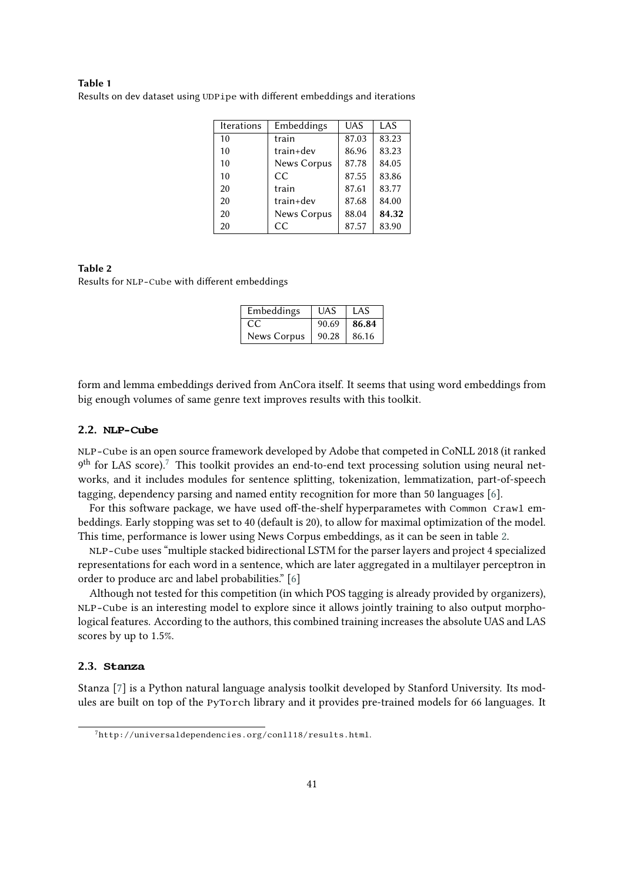## **Table 1**

<span id="page-2-0"></span>

|  |  |  | Results on dev dataset using UDPipe with different embeddings and iterations |  |
|--|--|--|------------------------------------------------------------------------------|--|
|  |  |  |                                                                              |  |

| <b>Iterations</b> | Embeddings  | <b>UAS</b> | LAS   |  |
|-------------------|-------------|------------|-------|--|
| 10                | train       | 87.03      | 83.23 |  |
| 10                | $train+dev$ | 86.96      | 83.23 |  |
| 10                | News Corpus | 87.78      | 84.05 |  |
| 10                | CC          | 87.55      | 83.86 |  |
| 20                | train       | 87.61      | 83.77 |  |
| 20                | train+dev   | 87.68      | 84.00 |  |
| 20                | News Corpus | 88.04      | 84.32 |  |
| 20                | CC          | 87.57      | 83.90 |  |

## <span id="page-2-2"></span>**Table 2** Results for NLP-Cube with different embeddings

| Embeddings  | <b>UAS</b> | LAS   |
|-------------|------------|-------|
| CC.         | 90.69      | 86.84 |
| News Corpus | 90.28      | 86.16 |

form and lemma embeddings derived from AnCora itself. It seems that using word embeddings from big enough volumes of same genre text improves results with this toolkit.

### **2.2. NLP-Cube**

NLP-Cube is an open source framework developed by Adobe that competed in CoNLL 2018 (it ranked  $9^{\text{th}}$  for LAS score).<sup>[7](#page-2-1)</sup> This toolkit provides an end-to-end text processing solution using neural networks, and it includes modules for sentence splitting, tokenization, lemmatization, part-of-speech tagging, dependency parsing and named entity recognition for more than 50 languages [\[6\]](#page-6-3).

For this software package, we have used off-the-shelf hyperparametes with Common Crawl embeddings. Early stopping was set to 40 (default is 20), to allow for maximal optimization of the model. This time, performance is lower using News Corpus embeddings, as it can be seen in table [2.](#page-2-2)

NLP-Cube uses "multiple stacked bidirectional LSTM for the parser layers and project 4 specialized representations for each word in a sentence, which are later aggregated in a multilayer perceptron in order to produce arc and label probabilities." [\[6\]](#page-6-3)

Although not tested for this competition (in which POS tagging is already provided by organizers), NLP-Cube is an interesting model to explore since it allows jointly training to also output morphological features. According to the authors, this combined training increases the absolute UAS and LAS scores by up to 1.5%.

## **2.3. Stanza**

Stanza [\[7\]](#page-6-4) is a Python natural language analysis toolkit developed by Stanford University. Its modules are built on top of the PyTorch library and it provides pre-trained models for 66 languages. It

<span id="page-2-1"></span> $7$ http://universaldependencies.org/conll18/results.html.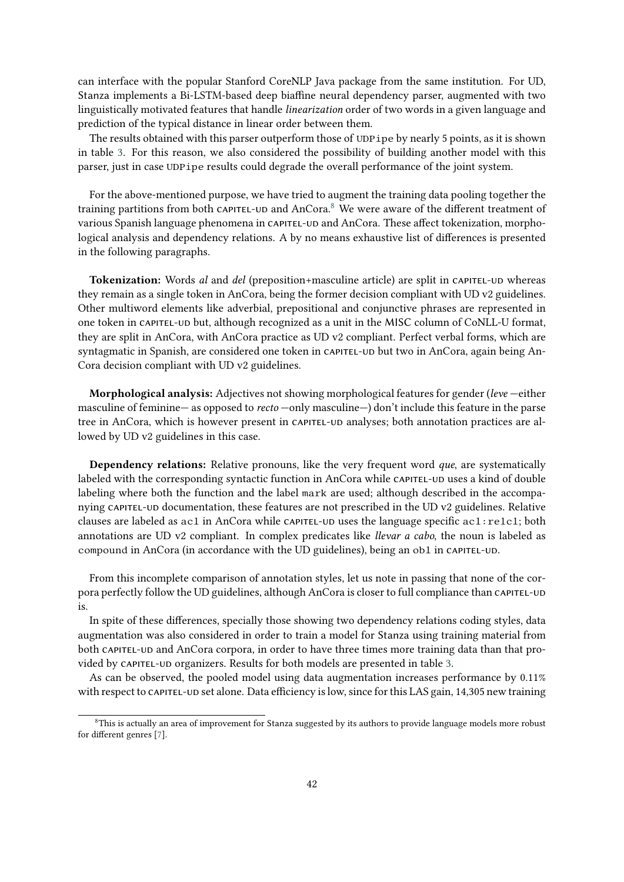can interface with the popular Stanford CoreNLP Java package from the same institution. For UD, Stanza implements a Bi-LSTM-based deep biaffine neural dependency parser, augmented with two linguistically motivated features that handle *linearization* order of two words in a given language and prediction of the typical distance in linear order between them.

The results obtained with this parser outperform those of UDPipe by nearly 5 points, as it is shown in table [3.](#page-4-0) For this reason, we also considered the possibility of building another model with this parser, just in case UDPipe results could degrade the overall performance of the joint system.

For the above-mentioned purpose, we have tried to augment the training data pooling together the training partitions from both capitel-ud and AnCora.[8](#page-3-0) We were aware of the different treatment of various Spanish language phenomena in CAPITEL-UD and AnCora. These affect tokenization, morphological analysis and dependency relations. A by no means exhaustive list of differences is presented in the following paragraphs.

Tokenization: Words *al* and *del* (preposition+masculine article) are split in CAPITEL-UD whereas they remain as a single token in AnCora, being the former decision compliant with UD v2 guidelines. Other multiword elements like adverbial, prepositional and conjunctive phrases are represented in one token in capitel-ud but, although recognized as a unit in the MISC column of CoNLL-U format, they are split in AnCora, with AnCora practice as UD v2 compliant. Perfect verbal forms, which are syntagmatic in Spanish, are considered one token in CAPITEL-UD but two in AnCora, again being An-Cora decision compliant with UD v2 guidelines.

**Morphological analysis:** Adjectives not showing morphological features for gender (*leve* —either masculine of feminine— as opposed to *recto* —only masculine—) don't include this feature in the parse tree in AnCora, which is however present in capitel-ud analyses; both annotation practices are allowed by UD v2 guidelines in this case.

**Dependency relations:** Relative pronouns, like the very frequent word *que*, are systematically labeled with the corresponding syntactic function in AnCora while capitel-ud uses a kind of double labeling where both the function and the label mark are used; although described in the accompanying capitel-ud documentation, these features are not prescribed in the UD v2 guidelines. Relative clauses are labeled as ac1 in AnCora while capitel-up uses the language specific ac1:relcl; both annotations are UD v2 compliant. In complex predicates like *llevar a cabo*, the noun is labeled as compound in AnCora (in accordance with the UD guidelines), being an obl in capitel-ud.

From this incomplete comparison of annotation styles, let us note in passing that none of the corpora perfectly follow the UD guidelines, although AnCora is closer to full compliance than CAPITEL-UD is.

In spite of these differences, specially those showing two dependency relations coding styles, data augmentation was also considered in order to train a model for Stanza using training material from both capitel-ud and AnCora corpora, in order to have three times more training data than that pro-vided by CAPITEL-UD organizers. Results for both models are presented in table [3.](#page-4-0)

As can be observed, the pooled model using data augmentation increases performance by 0.11% with respect to capital-ud set alone. Data efficiency is low, since for this LAS gain, 14,305 new training

<span id="page-3-0"></span><sup>8</sup>This is actually an area of improvement for Stanza suggested by its authors to provide language models more robust for different genres [\[7\]](#page-6-4).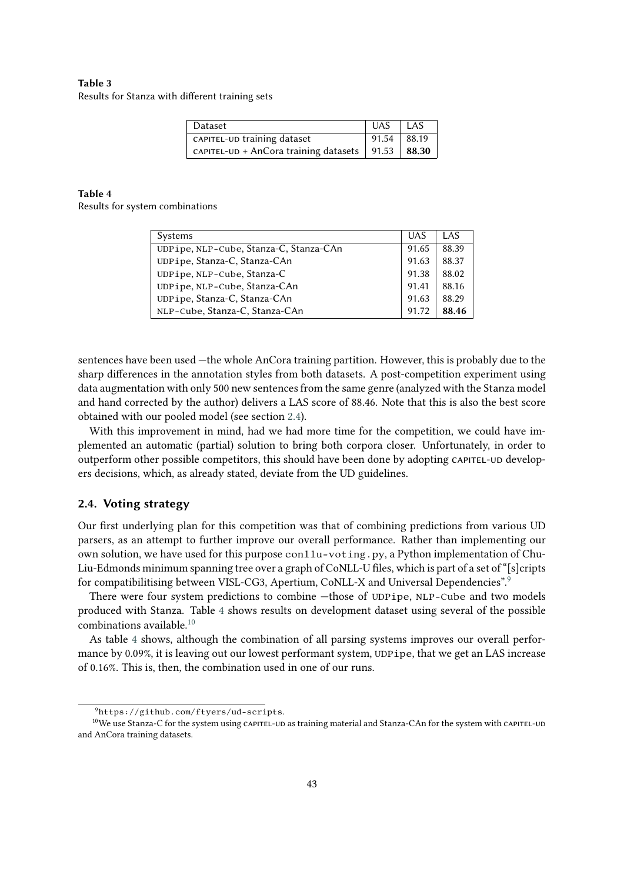## <span id="page-4-0"></span>**Table 3** Results for Stanza with different training sets

| Dataset                                               | UAS LAS       |  |
|-------------------------------------------------------|---------------|--|
| CAPITEL-UD training dataset                           | $91.54$ 88.19 |  |
| CAPITEL-UD + AnCora training datasets   91.53   88.30 |               |  |

#### **Table 4**

<span id="page-4-3"></span>Results for system combinations

| Systems                                | <b>UAS</b> | LAS   |
|----------------------------------------|------------|-------|
| UDPipe, NLP-Cube, Stanza-C, Stanza-CAn | 91.65      | 88.39 |
| UDPipe, Stanza-C, Stanza-CAn           | 91.63      | 88.37 |
| UDPipe, NLP-Cube, Stanza-C             | 91.38      | 88.02 |
| UDPipe, NLP-Cube, Stanza-CAn           | 91.41      | 88.16 |
| UDPipe, Stanza-C, Stanza-CAn           |            | 88.29 |
| NLP-Cube, Stanza-C, Stanza-CAn         | 91.72      | 88.46 |

sentences have been used —the whole AnCora training partition. However, this is probably due to the sharp differences in the annotation styles from both datasets. A post-competition experiment using data augmentation with only 500 new sentences from the same genre (analyzed with the Stanza model and hand corrected by the author) delivers a LAS score of 88.46. Note that this is also the best score obtained with our pooled model (see section [2.4\)](#page-4-1).

With this improvement in mind, had we had more time for the competition, we could have implemented an automatic (partial) solution to bring both corpora closer. Unfortunately, in order to outperform other possible competitors, this should have been done by adopting capitel-ud developers decisions, which, as already stated, deviate from the UD guidelines.

## <span id="page-4-1"></span>**2.4. Voting strategy**

Our first underlying plan for this competition was that of combining predictions from various UD parsers, as an attempt to further improve our overall performance. Rather than implementing our own solution, we have used for this purpose conllu-voting.py, a Python implementation of Chu-Liu-Edmonds minimum spanning tree over a graph of CoNLL-U files, which is part of a set of "[s]cripts for compatibilitising between VISL-CG3, Apertium, CoNLL-X and Universal Dependencies".[9](#page-4-2)

There were four system predictions to combine —those of UDPipe, NLP-Cube and two models produced with Stanza. Table [4](#page-4-3) shows results on development dataset using several of the possible combinations available.[10](#page-4-4)

As table [4](#page-4-3) shows, although the combination of all parsing systems improves our overall performance by 0.09%, it is leaving out our lowest performant system, UDPipe, that we get an LAS increase of 0.16%. This is, then, the combination used in one of our runs.

<span id="page-4-4"></span><span id="page-4-2"></span><sup>9</sup>https://github.com/ftyers/ud-scripts.

<sup>&</sup>lt;sup>10</sup>We use Stanza-C for the system using cAPITEL-UD as training material and Stanza-CAn for the system with cAPITEL-UD and AnCora training datasets.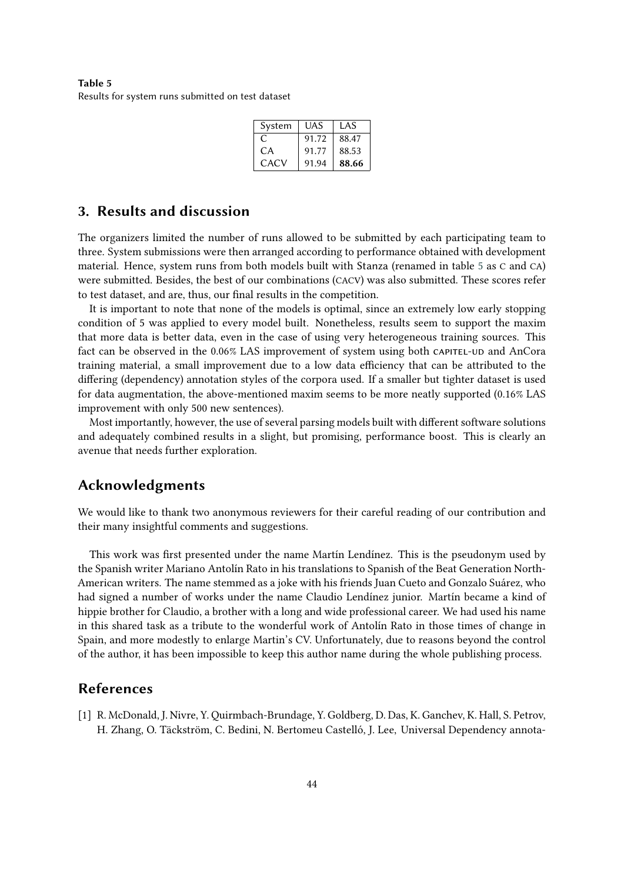<span id="page-5-0"></span>**Table 5** Results for system runs submitted on test dataset

| System | <b>UAS</b> | LAS   |  |  |
|--------|------------|-------|--|--|
| C      | 91.72      | 88.47 |  |  |
| CA     | 91.77      | 88.53 |  |  |
| CACV   | 91.94      | 88.66 |  |  |

## **3. Results and discussion**

The organizers limited the number of runs allowed to be submitted by each participating team to three. System submissions were then arranged according to performance obtained with development material. Hence, system runs from both models built with Stanza (renamed in table [5](#page-5-0) as C and CA) were submitted. Besides, the best of our combinations (CACV) was also submitted. These scores refer to test dataset, and are, thus, our final results in the competition.

It is important to note that none of the models is optimal, since an extremely low early stopping condition of 5 was applied to every model built. Nonetheless, results seem to support the maxim that more data is better data, even in the case of using very heterogeneous training sources. This fact can be observed in the 0.06% LAS improvement of system using both capital-up and AnCora training material, a small improvement due to a low data efficiency that can be attributed to the differing (dependency) annotation styles of the corpora used. If a smaller but tighter dataset is used for data augmentation, the above-mentioned maxim seems to be more neatly supported (0.16% LAS improvement with only 500 new sentences).

Most importantly, however, the use of several parsing models built with different software solutions and adequately combined results in a slight, but promising, performance boost. This is clearly an avenue that needs further exploration.

## **Acknowledgments**

We would like to thank two anonymous reviewers for their careful reading of our contribution and their many insightful comments and suggestions.

This work was first presented under the name Martín Lendínez. This is the pseudonym used by the Spanish writer Mariano Antolín Rato in his translations to Spanish of the Beat Generation North-American writers. The name stemmed as a joke with his friends Juan Cueto and Gonzalo Suárez, who had signed a number of works under the name Claudio Lendínez junior. Martín became a kind of hippie brother for Claudio, a brother with a long and wide professional career. We had used his name in this shared task as a tribute to the wonderful work of Antolín Rato in those times of change in Spain, and more modestly to enlarge Martin's CV. Unfortunately, due to reasons beyond the control of the author, it has been impossible to keep this author name during the whole publishing process.

# **References**

[1] R. McDonald, J. Nivre, Y. Quirmbach-Brundage, Y. Goldberg, D. Das, K. Ganchev, K. Hall, S. Petrov, H. Zhang, O. Täckström, C. Bedini, N. Bertomeu Castelló, J. Lee, Universal Dependency annota-